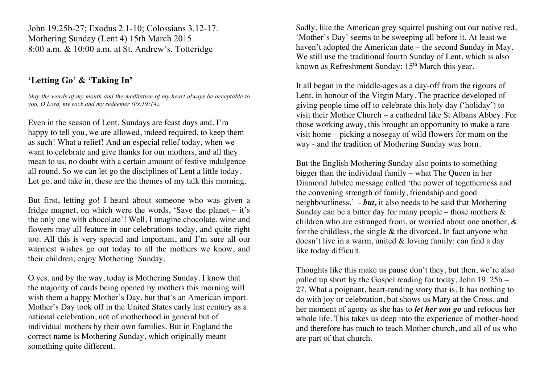John 19.25b-27; Exodus 2.1-10; Colossians 3.12-17. Mothering Sunday (Lent 4) 15th March 2015 8:00 a.m. & 10:00 a.m. at St. Andrew's, Totteridge

## **'Letting Go' & 'Taking In'**

*May the words of my mouth and the meditation of my heart always be acceptable to you, O Lord, my rock and my redeemer (Ps.19:14).*

Even in the season of Lent, Sundays are feast days and, I'm happy to tell you, we are allowed, indeed required, to keep them as such! What a relief! And an especial relief today, when we want to celebrate and give thanks for our mothers, and all they mean to us, no doubt with a certain amount of festive indulgence all round. So we can let go the disciplines of Lent a little today. Let go, and take in, these are the themes of my talk this morning.

But first, letting go! I heard about someone who was given a fridge magnet, on which were the words, 'Save the planet – it's the only one with chocolate'! Well, I imagine chocolate, wine and flowers may all feature in our celebrations today, and quite right too. All this is very special and important, and I'm sure all our warmest wishes go out today to all the mothers we know, and their children; enjoy Mothering Sunday.

O yes, and by the way, today is Mothering Sunday. I know that the majority of cards being opened by mothers this morning will wish them a happy Mother's Day, but that's an American import. Mother's Day took off in the United States early last century as a national celebration, not of motherhood in general but of individual mothers by their own families. But in England the correct name is Mothering Sunday, which originally meant something quite different.

Sadly, like the American grey squirrel pushing out our native red, 'Mother's Day' seems to be sweeping all before it. At least we haven't adopted the American date – the second Sunday in May. We still use the traditional fourth Sunday of Lent, which is also known as Refreshment Sunday: 15<sup>th</sup> March this year.

It all began in the middle-ages as a day-off from the rigours of Lent, in honour of the Virgin Mary. The practice developed of giving people time off to celebrate this holy day ('holiday') to visit their Mother Church – a cathedral like St Albans Abbey. For those working away, this brought an opportunity to make a rare visit home – picking a nosegay of wild flowers for mum on the way - and the tradition of Mothering Sunday was born.

But the English Mothering Sunday also points to something bigger than the individual family – what The Queen in her Diamond Jubilee message called 'the power of togetherness and the convening strength of family, friendship and good neighbourliness.' - *but,* it also needs to be said that Mothering Sunday can be a bitter day for many people – those mothers  $\&$ children who are estranged from, or worried about one another, & for the childless, the single  $\&$  the divorced. In fact anyone who doesn't live in a warm, united & loving family: can find a day like today difficult.

Thoughts like this make us pause don't they, but then, we're also pulled up short by the Gospel reading for today, John 19. 25b – 27. What a poignant, heart-rending story that is. It has nothing to do with joy or celebration, but shows us Mary at the Cross, and her moment of agony as she has to *let her son go* and refocus her whole life. This takes us deep into the experience of mother-hood and therefore has much to teach Mother church, and all of us who are part of that church.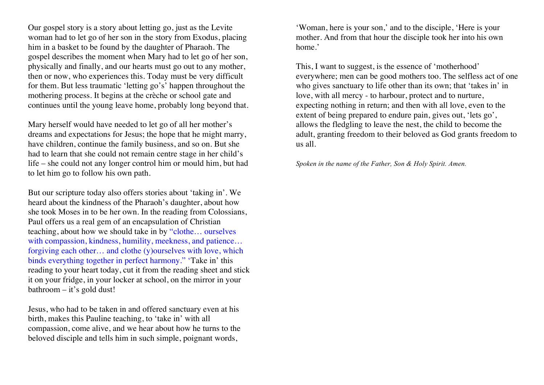Our gospel story is a story about letting go, just as the Levite woman had to let go of her son in the story from Exodus, placing him in a basket to be found by the daughter of Pharaoh. The gospel describes the moment when Mary had to let go of her son, physically and finally, and our hearts must go out to any mother, then or now, who experiences this. Today must be very difficult for them. But less traumatic 'letting go's' happen throughout the mothering process. It begins at the crèche or school gate and continues until the young leave home, probably long beyond that.

Mary herself would have needed to let go of all her mother's dreams and expectations for Jesus; the hope that he might marry, have children, continue the family business, and so on. But she had to learn that she could not remain centre stage in her child's life – she could not any longer control him or mould him, but had to let him go to follow his own path.

But our scripture today also offers stories about 'taking in'. We heard about the kindness of the Pharaoh's daughter, about how she took Moses in to be her own. In the reading from Colossians, Paul offers us a real gem of an encapsulation of Christian teaching, about how we should take in by "clothe… ourselves with compassion, kindness, humility, meekness, and patience... forgiving each other… and clothe (y)ourselves with love, which binds everything together in perfect harmony." 'Take in' this reading to your heart today, cut it from the reading sheet and stick it on your fridge, in your locker at school, on the mirror in your bathroom – it's gold dust!

Jesus, who had to be taken in and offered sanctuary even at his birth, makes this Pauline teaching, to 'take in' with all compassion, come alive, and we hear about how he turns to the beloved disciple and tells him in such simple, poignant words,

'Woman, here is your son,' and to the disciple, 'Here is your mother. And from that hour the disciple took her into his own home.'

This, I want to suggest, is the essence of 'motherhood' everywhere; men can be good mothers too. The selfless act of one who gives sanctuary to life other than its own; that 'takes in' in love, with all mercy - to harbour, protect and to nurture, expecting nothing in return; and then with all love, even to the extent of being prepared to endure pain, gives out, 'lets go', allows the fledgling to leave the nest, the child to become the adult, granting freedom to their beloved as God grants freedom to us all.

*Spoken in the name of the Father, Son & Holy Spirit. Amen.*